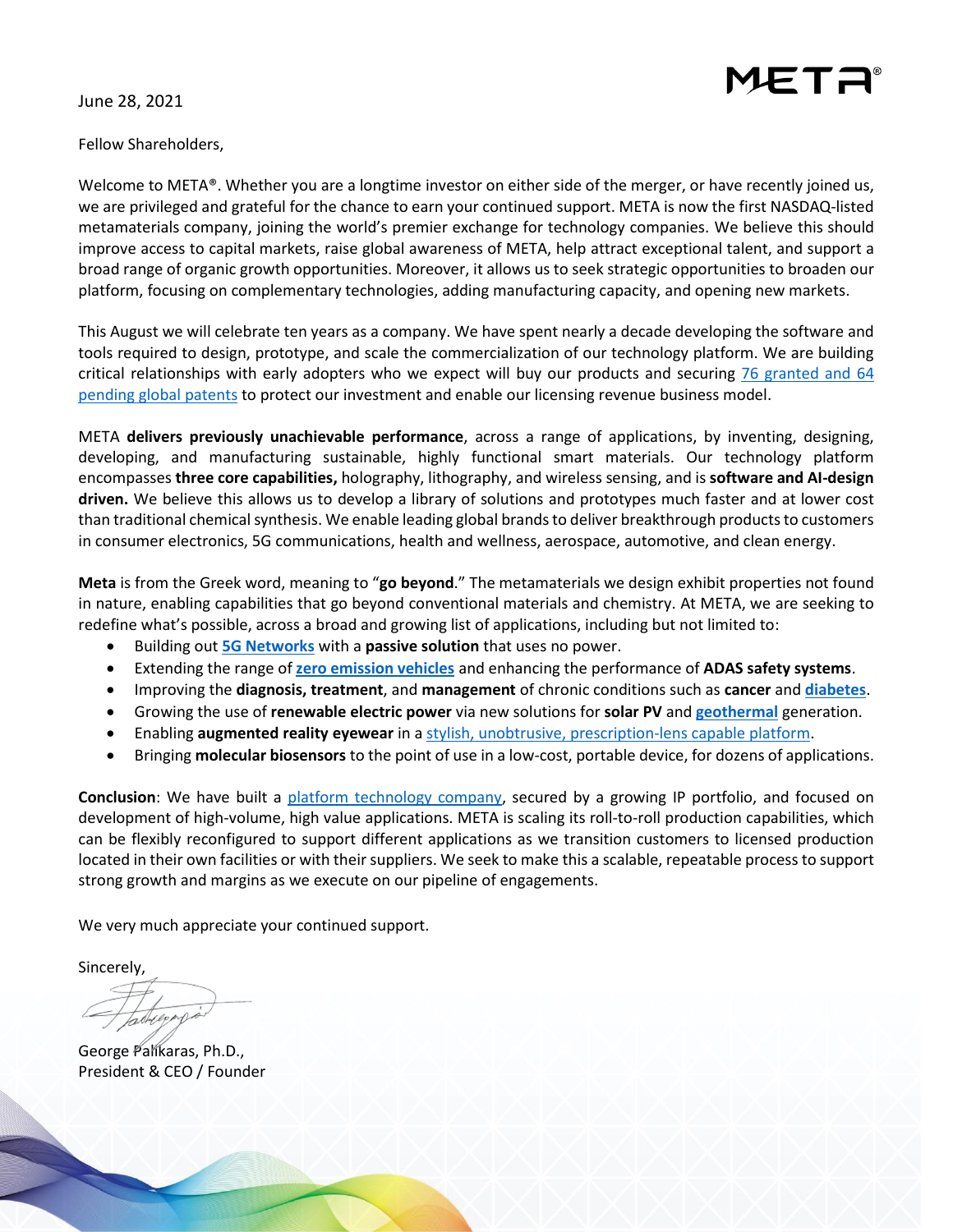

June 28, 2021

Fellow Shareholders,

Welcome to META®. Whether you are a longtime investor on either side of the merger, or have recently joined us, we are privileged and grateful for the chance to earn your continued support. META is now the first NASDAQ-listed metamaterials company, joining the world's premier exchange for technology companies. We believe this should improve access to capital markets, raise global awareness of META, help attract exceptional talent, and support a broad range of organic growth opportunities. Moreover, it allows us to seek strategic opportunities to broaden our platform, focusing on complementary technologies, adding manufacturing capacity, and opening new markets.

This August we will celebrate ten years as a company. We have spent nearly a decade developing the software and tools required to design, prototype, and scale the commercialization of our technology platform. We are building critical relationships with early adopters who we expect will buy our products and securing [76 granted and 64](https://metamaterial.com/intellectual-property/)  [pending global](https://metamaterial.com/intellectual-property/) patents to protect our investment and enable our licensing revenue business model.

META **delivers previously unachievable performance**, across a range of applications, by inventing, designing, developing, and manufacturing sustainable, highly functional smart materials. Our technology platform encompasses **three core capabilities,** holography, lithography, and wireless sensing, and is **software and AI-design driven.** We believe this allows us to develop a library of solutions and prototypes much faster and at lower cost than traditional chemical synthesis. We enable leading global brands to deliver breakthrough products to customers in consumer electronics, 5G communications, health and wellness, aerospace, automotive, and clean energy.

**Meta** is from the Greek word, meaning to "**go beyond**." The metamaterials we design exhibit properties not found in nature, enabling capabilities that go beyond conventional materials and chemistry. At META, we are seeking to redefine what's possible, across a broad and growing list of applications, including but not limited to:

- Building out **[5G Networks](https://metamaterial.com/meta-and-sekisui-collaborate-to-improve-5g-6g-communications-infrastructure/)** with a **passive solution** that uses no power.
- Extending the range of **[zero emission vehicles](https://metamaterial.com/solutions/de-icing-de-fogging/)** and enhancing the performance of **ADAS safety systems**.
- Improving the **diagnosis, treatment**, and **management** of chronic conditions such as **cancer** and **[diabetes](https://gluco-wise.com/)**.
- Growing the use of **renewable electric power** via new solutions for **solar PV** and **[geothermal](https://content.metamaterial.com/blog/sage-meta-unlocking-the-potential-of-geothermal-for-clean-compact-renewable-baseload-power)** generation.
- Enabling **augmented reality eyewear** in a [stylish, unobtrusive, prescription-lens capable platform.](https://metamaterial.com/metamaterial-acquires-assets-and-ip-of-swiss-lens-manufacturer-interglass/)
- Bringing **molecular biosensors** to the point of use in a low-cost, portable device, for dozens of applications.

**Conclusion**: We have built a [platform technology company,](https://metamaterial.com/about-us/corporate-videos/) secured by a growing IP portfolio, and focused on development of high-volume, high value applications. META is scaling its roll-to-roll production capabilities, which can be flexibly reconfigured to support different applications as we transition customers to licensed production located in their own facilities or with their suppliers. We seek to make this a scalable, repeatable process to support strong growth and margins as we execute on our pipeline of engagements.

We very much appreciate your continued support.

Sincerely,

tacheep

George Palikaras, Ph.D., President & CEO / Founder